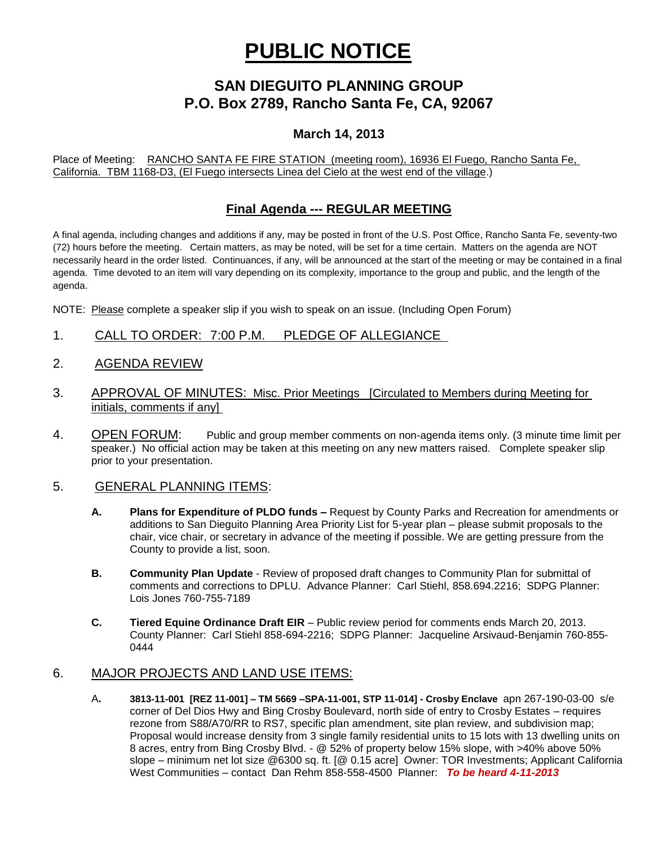# **PUBLIC NOTICE**

## **SAN DIEGUITO PLANNING GROUP P.O. Box 2789, Rancho Santa Fe, CA, 92067**

### **March 14, 2013**

Place of Meeting: RANCHO SANTA FE FIRE STATION (meeting room), 16936 El Fuego, Rancho Santa Fe, California. TBM 1168-D3, (El Fuego intersects Linea del Cielo at the west end of the village.)

### **Final Agenda --- REGULAR MEETING**

A final agenda, including changes and additions if any, may be posted in front of the U.S. Post Office, Rancho Santa Fe, seventy-two (72) hours before the meeting. Certain matters, as may be noted, will be set for a time certain. Matters on the agenda are NOT necessarily heard in the order listed. Continuances, if any, will be announced at the start of the meeting or may be contained in a final agenda. Time devoted to an item will vary depending on its complexity, importance to the group and public, and the length of the agenda.

NOTE: Please complete a speaker slip if you wish to speak on an issue. (Including Open Forum)

- 1. CALL TO ORDER: 7:00 P.M. PLEDGE OF ALLEGIANCE
- 2. AGENDA REVIEW
- 3. APPROVAL OF MINUTES: Misc. Prior Meetings [Circulated to Members during Meeting for initials, comments if any]
- 4. OPEN FORUM: Public and group member comments on non-agenda items only. (3 minute time limit per speaker.) No official action may be taken at this meeting on any new matters raised. Complete speaker slip prior to your presentation.

#### 5. GENERAL PLANNING ITEMS:

- **A. Plans for Expenditure of PLDO funds –** Request by County Parks and Recreation for amendments or additions to San Dieguito Planning Area Priority List for 5-year plan – please submit proposals to the chair, vice chair, or secretary in advance of the meeting if possible. We are getting pressure from the County to provide a list, soon.
- **B. Community Plan Update** Review of proposed draft changes to Community Plan for submittal of comments and corrections to DPLU. Advance Planner: Carl Stiehl, 858.694.2216; SDPG Planner: Lois Jones 760-755-7189
- **C. Tiered Equine Ordinance Draft EIR**  Public review period for comments ends March 20, 2013. County Planner: Carl Stiehl 858-694-2216; SDPG Planner: Jacqueline Arsivaud-Benjamin 760-855- 0444

#### 6. MAJOR PROJECTS AND LAND USE ITEMS:

A**. 3813-11-001 [REZ 11-001] – TM 5669 –SPA-11-001, STP 11-014] - Crosby Enclave** apn 267-190-03-00 s/e corner of Del Dios Hwy and Bing Crosby Boulevard, north side of entry to Crosby Estates – requires rezone from S88/A70/RR to RS7, specific plan amendment, site plan review, and subdivision map; Proposal would increase density from 3 single family residential units to 15 lots with 13 dwelling units on 8 acres, entry from Bing Crosby Blvd. - @ 52% of property below 15% slope, with >40% above 50% slope – minimum net lot size @6300 sq. ft. [@ 0.15 acre] Owner: TOR Investments; Applicant California West Communities – contact Dan Rehm 858-558-4500 Planner: *To be heard 4-11-2013*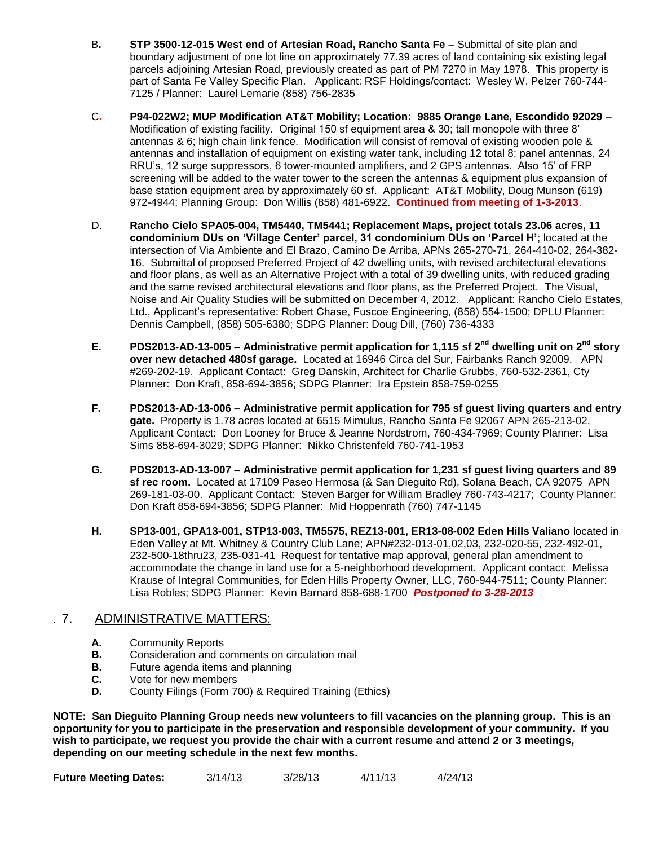- B**. STP 3500-12-015 West end of Artesian Road, Rancho Santa Fe** Submittal of site plan and boundary adjustment of one lot line on approximately 77.39 acres of land containing six existing legal parcels adjoining Artesian Road, previously created as part of PM 7270 in May 1978. This property is part of Santa Fe Valley Specific Plan.Applicant: RSF Holdings/contact: Wesley W. Pelzer 760-744- 7125 / Planner: Laurel Lemarie (858) 756-2835
- C**. P94-022W2; MUP Modification AT&T Mobility; Location: 9885 Orange Lane, Escondido 92029** Modification of existing facility. Original 150 sf equipment area & 30; tall monopole with three 8' antennas & 6; high chain link fence. Modification will consist of removal of existing wooden pole & antennas and installation of equipment on existing water tank, including 12 total 8; panel antennas, 24 RRU's, 12 surge suppressors, 6 tower-mounted amplifiers, and 2 GPS antennas. Also 15' of FRP screening will be added to the water tower to the screen the antennas & equipment plus expansion of base station equipment area by approximately 60 sf. Applicant: AT&T Mobility, Doug Munson (619) 972-4944; Planning Group: Don Willis (858) 481-6922. **Continued from meeting of 1-3-2013**.
- D. **Rancho Cielo SPA05-004, TM5440, TM5441; Replacement Maps, project totals 23.06 acres, 11 condominium DUs on 'Village Center' parcel, 31 condominium DUs on 'Parcel H'**; located at the intersection of Via Ambiente and El Brazo, Camino De Arriba, APNs 265-270-71, 264-410-02, 264-382- 16. Submittal of proposed Preferred Project of 42 dwelling units, with revised architectural elevations and floor plans, as well as an Alternative Project with a total of 39 dwelling units, with reduced grading and the same revised architectural elevations and floor plans, as the Preferred Project. The Visual, Noise and Air Quality Studies will be submitted on December 4, 2012. Applicant: Rancho Cielo Estates, Ltd., Applicant's representative: Robert Chase, Fuscoe Engineering, (858) 554-1500; DPLU Planner: Dennis Campbell, (858) 505-6380; SDPG Planner: Doug Dill, (760) 736-4333
- **E. PDS2013-AD-13-005 – Administrative permit application for 1,115 sf 2nd dwelling unit on 2nd story over new detached 480sf garage.** Located at 16946 Circa del Sur, Fairbanks Ranch 92009. APN #269-202-19. Applicant Contact: Greg Danskin, Architect for Charlie Grubbs, 760-532-2361, Cty Planner: Don Kraft, 858-694-3856; SDPG Planner: Ira Epstein 858-759-0255
- **F. PDS2013-AD-13-006 – Administrative permit application for 795 sf guest living quarters and entry gate.** Property is 1.78 acres located at 6515 Mimulus, Rancho Santa Fe 92067 APN 265-213-02. Applicant Contact: Don Looney for Bruce & Jeanne Nordstrom, 760-434-7969; County Planner: Lisa Sims 858-694-3029; SDPG Planner: Nikko Christenfeld 760-741-1953
- **G. PDS2013-AD-13-007 – Administrative permit application for 1,231 sf guest living quarters and 89 sf rec room.** Located at 17109 Paseo Hermosa (& San Dieguito Rd), Solana Beach, CA 92075 APN 269-181-03-00. Applicant Contact: Steven Barger for William Bradley 760-743-4217; County Planner: Don Kraft 858-694-3856; SDPG Planner: Mid Hoppenrath (760) 747-1145
- **H. SP13-001, GPA13-001, STP13-003, TM5575, REZ13-001, ER13-08-002 Eden Hills Valiano** located in Eden Valley at Mt. Whitney & Country Club Lane; APN#232-013-01,02,03, 232-020-55, 232-492-01, 232-500-18thru23, 235-031-41 Request for tentative map approval, general plan amendment to accommodate the change in land use for a 5-neighborhood development. Applicant contact: Melissa Krause of Integral Communities, for Eden Hills Property Owner, LLC, 760-944-7511; County Planner: Lisa Robles; SDPG Planner: Kevin Barnard 858-688-1700 *Postponed to 3-28-2013*

#### . 7. ADMINISTRATIVE MATTERS:

- **A.** Community Reports
- **B.** Consideration and comments on circulation mail
- **B.** Future agenda items and planning
- **C.** Vote for new members
- **D.** County Filings (Form 700) & Required Training (Ethics)

**NOTE: San Dieguito Planning Group needs new volunteers to fill vacancies on the planning group. This is an opportunity for you to participate in the preservation and responsible development of your community. If you wish to participate, we request you provide the chair with a current resume and attend 2 or 3 meetings, depending on our meeting schedule in the next few months.**

| <b>Future Meeting Dates:</b> | 3/14/13 | 3/28/13 | 4/11/13 | 4/24/13 |
|------------------------------|---------|---------|---------|---------|
|                              |         |         |         |         |